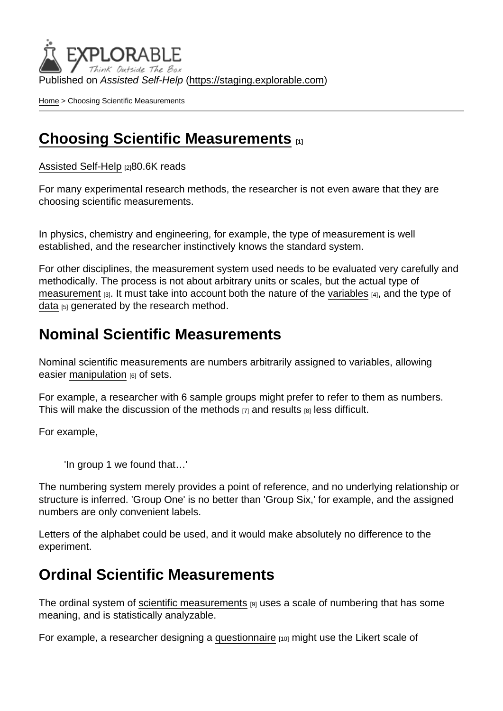Published on Assisted Self-Help [\(https://staging.explorable.com](https://staging.explorable.com))

[Home](https://staging.explorable.com/en) > Choosing Scientific Measurements

#### [Choosing Scientific Measurements](https://staging.explorable.com/en/scientific-measurements) [1]

[Assisted Self-Help](https://staging.explorable.com/en) [2]80.6K reads

For many experimental research methods, the researcher is not even aware that they are choosing scientific measurements.

In physics, chemistry and engineering, for example, the type of measurement is well established, and the researcher instinctively knows the standard system.

For other disciplines, the measurement system used needs to be evaluated very carefully and methodically. The process is not about arbitrary units or scales, but the actual type of [measurement](https://staging.explorable.com/measurement-scales) [3]. It must take into account both the nature of the [variables](https://staging.explorable.com/research-variables) [4], and the type of [data](https://staging.explorable.com/statistical-data-sets) [5] generated by the research method.

#### Nominal Scientific Measurements

Nominal scientific measurements are numbers arbitrarily assigned to variables, allowing easier [manipulation](https://staging.explorable.com/independent-variable) [6] of sets.

For example, a researcher with 6 sample groups might prefer to refer to them as numbers. This will make the discussion of the [methods](https://staging.explorable.com/writing-methodology)  $[7]$  and [results](https://staging.explorable.com/writing-a-results-section)  $[8]$  less difficult.

For example,

'In group 1 we found that…'

The numbering system merely provides a point of reference, and no underlying relationship or structure is inferred. 'Group One' is no better than 'Group Six,' for example, and the assigned numbers are only convenient labels.

Letters of the alphabet could be used, and it would make absolutely no difference to the experiment.

## Ordinal Scientific Measurements

The ordinal system of [scientific measurements](http://www.socialresearchmethods.net/kb/measlevl.php) [9] uses a scale of numbering that has some meaning, and is statistically analyzable.

For example, a researcher designing a [questionnaire](https://staging.explorable.com/survey-research-design) [10] might use the Likert scale of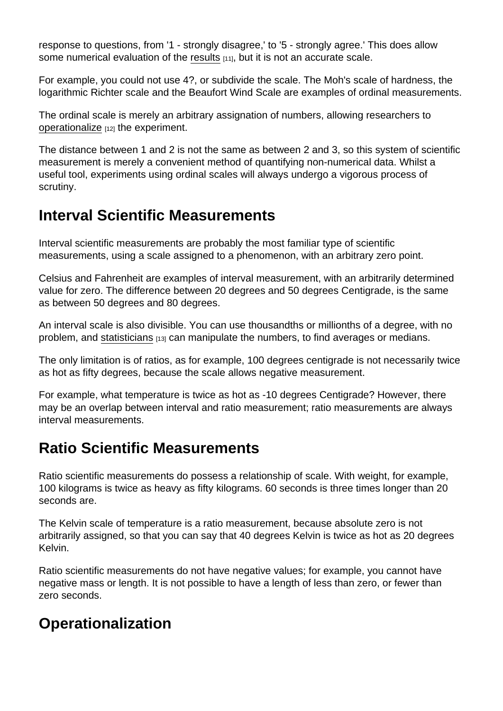response to questions, from '1 - strongly disagree,' to '5 - strongly agree.' This does allow some numerical evaluation of the [results](https://staging.explorable.com/statistically-significant-results) [11], but it is not an accurate scale.

For example, you could not use 4?, or subdivide the scale. The Moh's scale of hardness, the logarithmic Richter scale and the Beaufort Wind Scale are examples of ordinal measurements.

The ordinal scale is merely an arbitrary assignation of numbers, allowing researchers to [operationalize](https://staging.explorable.com/operationalization) [12] the experiment.

The distance between 1 and 2 is not the same as between 2 and 3, so this system of scientific measurement is merely a convenient method of quantifying non-numerical data. Whilst a useful tool, experiments using ordinal scales will always undergo a vigorous process of scrutiny.

## Interval Scientific Measurements

Interval scientific measurements are probably the most familiar type of scientific measurements, using a scale assigned to a phenomenon, with an arbitrary zero point.

Celsius and Fahrenheit are examples of interval measurement, with an arbitrarily determined value for zero. The difference between 20 degrees and 50 degrees Centigrade, is the same as between 50 degrees and 80 degrees.

An interval scale is also divisible. You can use thousandths or millionths of a degree, with no problem, and [statisticians](https://staging.explorable.com/statistics-tutorial) [13] can manipulate the numbers, to find averages or medians.

The only limitation is of ratios, as for example, 100 degrees centigrade is not necessarily twice as hot as fifty degrees, because the scale allows negative measurement.

For example, what temperature is twice as hot as -10 degrees Centigrade? However, there may be an overlap between interval and ratio measurement; ratio measurements are always interval measurements.

# Ratio Scientific Measurements

Ratio scientific measurements do possess a relationship of scale. With weight, for example, 100 kilograms is twice as heavy as fifty kilograms. 60 seconds is three times longer than 20 seconds are.

The Kelvin scale of temperature is a ratio measurement, because absolute zero is not arbitrarily assigned, so that you can say that 40 degrees Kelvin is twice as hot as 20 degrees Kelvin.

Ratio scientific measurements do not have negative values; for example, you cannot have negative mass or length. It is not possible to have a length of less than zero, or fewer than zero seconds.

## **Operationalization**